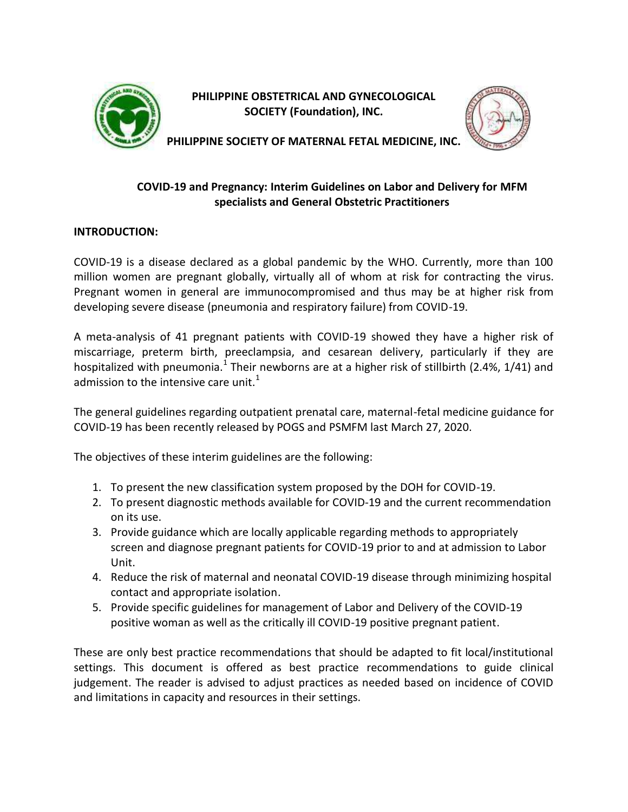

**PHILIPPINE OBSTETRICAL AND GYNECOLOGICAL SOCIETY (Foundation), INC.**



**PHILIPPINE SOCIETY OF MATERNAL FETAL MEDICINE, INC.**

# **COVID-19 and Pregnancy: Interim Guidelines on Labor and Delivery for MFM specialists and General Obstetric Practitioners**

## **INTRODUCTION:**

COVID-19 is a disease declared as a global pandemic by the WHO. Currently, more than 100 million women are pregnant globally, virtually all of whom at risk for contracting the virus. Pregnant women in general are immunocompromised and thus may be at higher risk from developing severe disease (pneumonia and respiratory failure) from COVID-19.

A meta-analysis of 41 pregnant patients with COVID-19 showed they have a higher risk of miscarriage, preterm birth, preeclampsia, and cesarean delivery, particularly if they are hospitalized with pneumonia.<sup>1</sup> Their newborns are at a higher risk of stillbirth (2.4%, 1/41) and admission to the intensive care unit. $1$ 

The general guidelines regarding outpatient prenatal care, maternal-fetal medicine guidance for COVID-19 has been recently released by POGS and PSMFM last March 27, 2020.

The objectives of these interim guidelines are the following:

- 1. To present the new classification system proposed by the DOH for COVID-19.
- 2. To present diagnostic methods available for COVID-19 and the current recommendation on its use.
- 3. Provide guidance which are locally applicable regarding methods to appropriately screen and diagnose pregnant patients for COVID-19 prior to and at admission to Labor Unit.
- 4. Reduce the risk of maternal and neonatal COVID-19 disease through minimizing hospital contact and appropriate isolation.
- 5. Provide specific guidelines for management of Labor and Delivery of the COVID-19 positive woman as well as the critically ill COVID-19 positive pregnant patient.

These are only best practice recommendations that should be adapted to fit local/institutional settings. This document is offered as best practice recommendations to guide clinical judgement. The reader is advised to adjust practices as needed based on incidence of COVID and limitations in capacity and resources in their settings.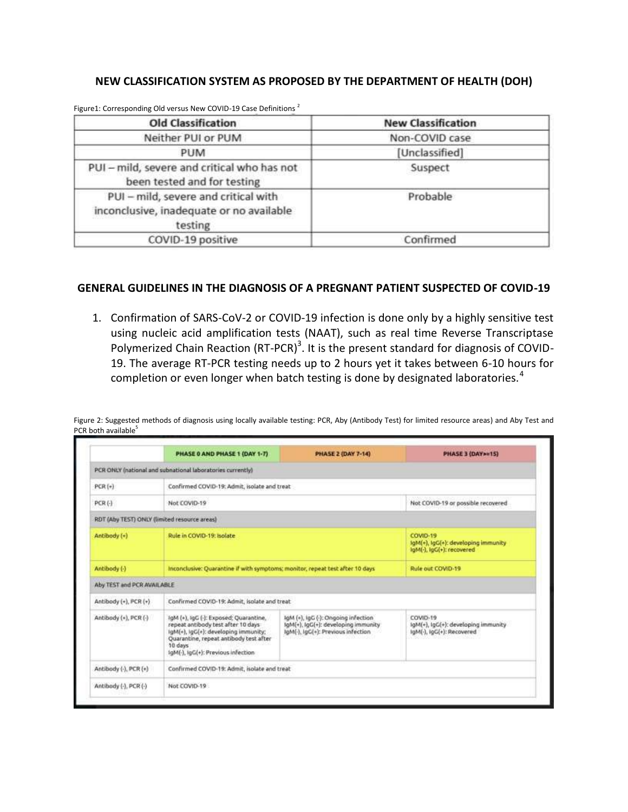### **NEW CLASSIFICATION SYSTEM AS PROPOSED BY THE DEPARTMENT OF HEALTH (DOH)**

| <b>Old Classification</b>                                                                   | <b>New Classification</b> |  |
|---------------------------------------------------------------------------------------------|---------------------------|--|
| Neither PUI or PUM                                                                          | Non-COVID case            |  |
| PUM                                                                                         | [Unclassified]            |  |
| PUI - mild, severe and critical who has not<br>been tested and for testing                  | Suspect                   |  |
| PUI - mild, severe and critical with<br>inconclusive, inadequate or no available<br>testing | Probable                  |  |
| COVID-19 positive                                                                           | Confirmed                 |  |

Figure1: Corresponding Old versus New COVID-19 Case Definitions<sup>2</sup>

#### **GENERAL GUIDELINES IN THE DIAGNOSIS OF A PREGNANT PATIENT SUSPECTED OF COVID-19**

1. Confirmation of SARS-CoV-2 or COVID-19 infection is done only by a highly sensitive test using nucleic acid amplification tests (NAAT), such as real time Reverse Transcriptase Polymerized Chain Reaction (RT-PCR)<sup>3</sup>. It is the present standard for diagnosis of COVID-19. The average RT-PCR testing needs up to 2 hours yet it takes between 6-10 hours for completion or even longer when batch testing is done by designated laboratories.<sup>4</sup>

|                                              | PHASE 0 AND PHASE 1 (DAY 1-7)                                                                                                                                                                                   | <b>PHASE 2 (DAY 7-14)</b>                                                                                        | PHASE 3 (DAY>=15)                                                            |  |  |  |
|----------------------------------------------|-----------------------------------------------------------------------------------------------------------------------------------------------------------------------------------------------------------------|------------------------------------------------------------------------------------------------------------------|------------------------------------------------------------------------------|--|--|--|
|                                              | PCR ONLY (national and subnational laboratories currently)                                                                                                                                                      |                                                                                                                  |                                                                              |  |  |  |
| $PCR(*)$                                     |                                                                                                                                                                                                                 | Confirmed COVID-19: Admit, isolate and treat                                                                     |                                                                              |  |  |  |
| $PCR(-)$                                     | Not COVID-19                                                                                                                                                                                                    | Not COVID-19 or possible recovered                                                                               |                                                                              |  |  |  |
| RDT (Aby TEST) ONLY (limited resource areas) |                                                                                                                                                                                                                 |                                                                                                                  |                                                                              |  |  |  |
| Antibody (+)                                 | Rule in COVID-19: Isolate                                                                                                                                                                                       |                                                                                                                  | COVID-19<br>lgM(+), IgG(+): developing immunity<br>lgM(-), lgG(+): recovered |  |  |  |
| Antibody (-)                                 | Inconclusive: Quarantine if with symptoms; monitor, repeat test after 10 days                                                                                                                                   | Rule out COVID-19                                                                                                |                                                                              |  |  |  |
| Aby TEST and PCR AVAILABLE                   |                                                                                                                                                                                                                 |                                                                                                                  |                                                                              |  |  |  |
| Antibody $(*)$ , PCR $(*)$                   | Confirmed COVID-19: Admit, isolate and treat                                                                                                                                                                    |                                                                                                                  |                                                                              |  |  |  |
| Antibody (+), PCR (-)                        | IgM (+), IgG (-): Exposed; Quarantine,<br>repeat antibody test after 10 days<br>igM(+), IgG(+): developing immunity;<br>Quarantine, repeat antibody test after<br>10 days<br>IgM(-), IgG(+): Previous infection | IgM (+), IgG (-): Ongoing infection<br>IqM(+), IqG(+): developing immunity<br>IgM(-), IgG(+): Previous infection | COVID-19<br>IgM(+), IgC(+): developing immunity<br>lgM(-), IgG(+): Recovered |  |  |  |
| Antibody (-), PCR (+)                        |                                                                                                                                                                                                                 | Confirmed COVID-19: Admit, isolate and treat                                                                     |                                                                              |  |  |  |
| Antibody (-), PCR (-)                        | Not COVID-19                                                                                                                                                                                                    |                                                                                                                  |                                                                              |  |  |  |

Figure 2: Suggested methods of diagnosis using locally available testing: PCR, Aby (Antibody Test) for limited resource areas) and Aby Test and PCR both available<sup>5</sup>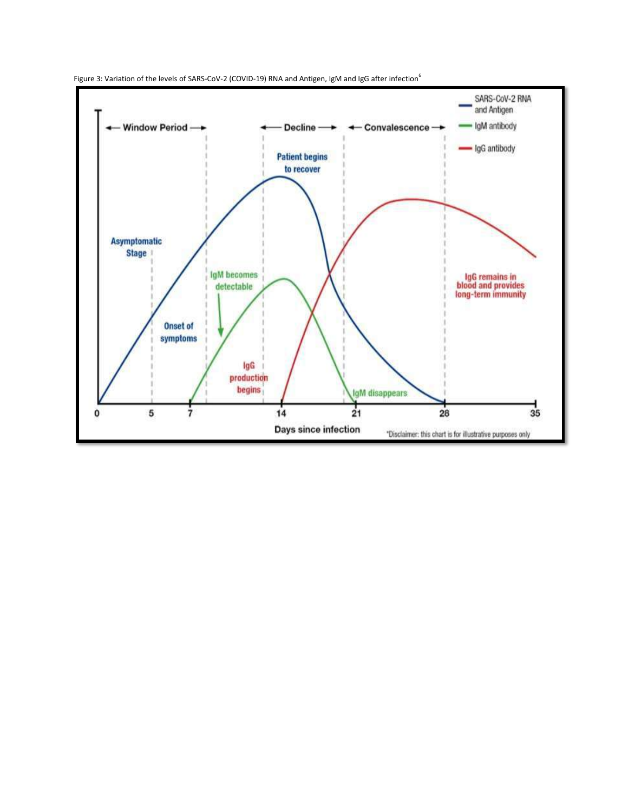

Figure 3: Variation of the levels of SARS-CoV-2 (COVID-19) RNA and Antigen, IgM and IgG after infection<sup>6</sup>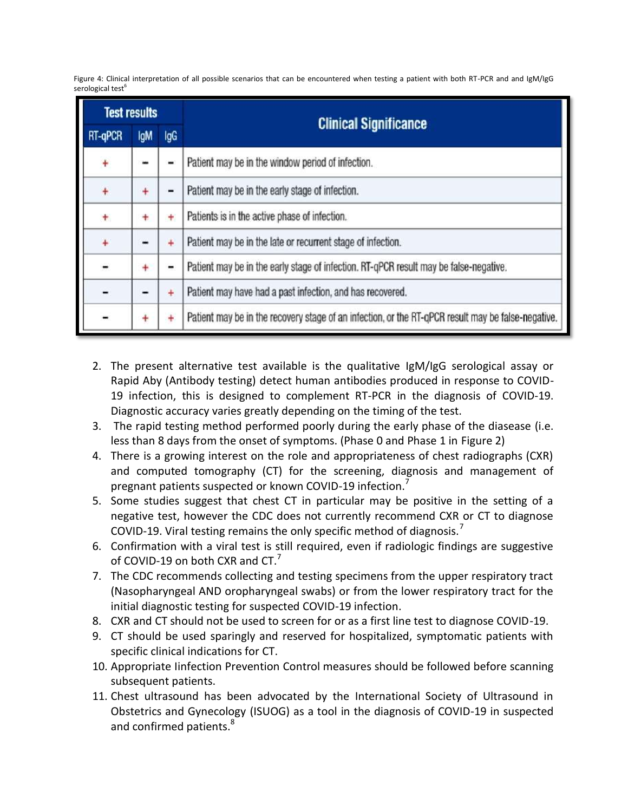Figure 4: Clinical interpretation of all possible scenarios that can be encountered when testing a patient with both RT-PCR and and IgM/IgG serological test<sup>6</sup>

| <b>Test results</b> |            |           | <b>Clinical Significance</b>                                                                       |  |  |  |  |
|---------------------|------------|-----------|----------------------------------------------------------------------------------------------------|--|--|--|--|
| RT-qPCR             | <b>IgM</b> | IgG       |                                                                                                    |  |  |  |  |
| $\ddot{}$           |            |           | Patient may be in the window period of infection.                                                  |  |  |  |  |
| $\ddot{}$           | ÷          | ▬         | Patient may be in the early stage of infection.                                                    |  |  |  |  |
| ÷                   | ۰          | ÷         | Patients is in the active phase of infection.                                                      |  |  |  |  |
| $\ddot{}$           | -          | $\ddot{}$ | Patient may be in the late or recurrent stage of infection.                                        |  |  |  |  |
| $\blacksquare$      | +          | -         | Patient may be in the early stage of infection. RT-qPCR result may be false-negative.              |  |  |  |  |
| -                   |            | $\ddot{}$ | Patient may have had a past infection, and has recovered.                                          |  |  |  |  |
| -                   | $\ddot{}$  | $\ddot{}$ | Patient may be in the recovery stage of an infection, or the RT-qPCR result may be false-negative. |  |  |  |  |

- 2. The present alternative test available is the qualitative IgM/IgG serological assay or Rapid Aby (Antibody testing) detect human antibodies produced in response to COVID-19 infection, this is designed to complement RT-PCR in the diagnosis of COVID-19. Diagnostic accuracy varies greatly depending on the timing of the test.
- 3. The rapid testing method performed poorly during the early phase of the diasease (i.e. less than 8 days from the onset of symptoms. (Phase 0 and Phase 1 in Figure 2)
- 4. There is a growing interest on the role and appropriateness of chest radiographs (CXR) and computed tomography (CT) for the screening, diagnosis and management of pregnant patients suspected or known COVID-19 infection.
- 5. Some studies suggest that chest CT in particular may be positive in the setting of a negative test, however the CDC does not currently recommend CXR or CT to diagnose COVID-19. Viral testing remains the only specific method of diagnosis.<sup>7</sup>
- 6. Confirmation with a viral test is still required, even if radiologic findings are suggestive of COVID-19 on both CXR and CT.<sup>7</sup>
- 7. The CDC recommends collecting and testing specimens from the upper respiratory tract (Nasopharyngeal AND oropharyngeal swabs) or from the lower respiratory tract for the initial diagnostic testing for suspected COVID-19 infection.
- 8. CXR and CT should not be used to screen for or as a first line test to diagnose COVID-19.
- 9. CT should be used sparingly and reserved for hospitalized, symptomatic patients with specific clinical indications for CT.
- 10. Appropriate Iinfection Prevention Control measures should be followed before scanning subsequent patients.
- 11. Chest ultrasound has been advocated by the International Society of Ultrasound in Obstetrics and Gynecology (ISUOG) as a tool in the diagnosis of COVID-19 in suspected and confirmed patients.<sup>8</sup>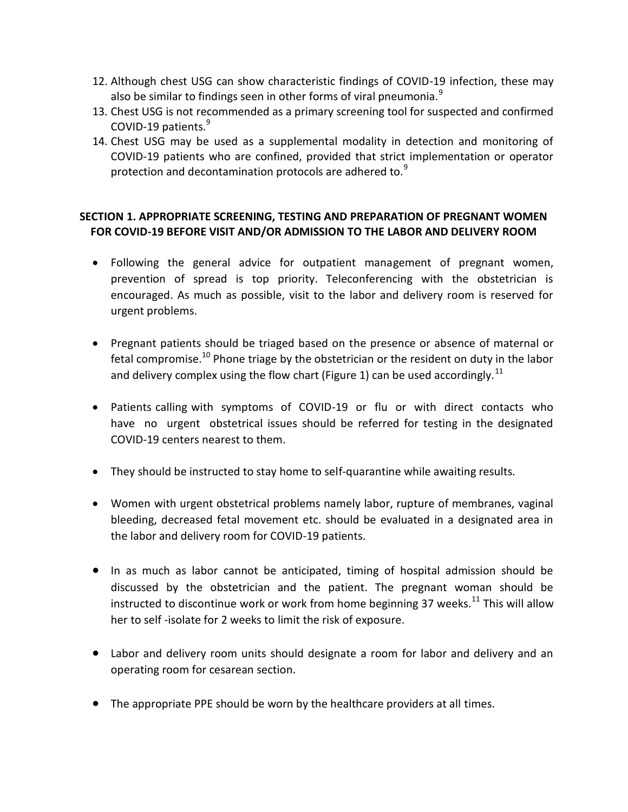- 12. Although chest USG can show characteristic findings of COVID-19 infection, these may also be similar to findings seen in other forms of viral pneumonia. $<sup>9</sup>$ </sup>
- 13. Chest USG is not recommended as a primary screening tool for suspected and confirmed COVID-19 patients.<sup>9</sup>
- 14. Chest USG may be used as a supplemental modality in detection and monitoring of COVID-19 patients who are confined, provided that strict implementation or operator protection and decontamination protocols are adhered to.<sup>9</sup>

## **SECTION 1. APPROPRIATE SCREENING, TESTING AND PREPARATION OF PREGNANT WOMEN FOR COVID-19 BEFORE VISIT AND/OR ADMISSION TO THE LABOR AND DELIVERY ROOM**

- Following the general advice for outpatient management of pregnant women, prevention of spread is top priority. Teleconferencing with the obstetrician is encouraged. As much as possible, visit to the labor and delivery room is reserved for urgent problems.
- Pregnant patients should be triaged based on the presence or absence of maternal or fetal compromise.<sup>10</sup> Phone triage by the obstetrician or the resident on duty in the labor and delivery complex using the flow chart (Figure 1) can be used accordingly.<sup>11</sup>
- Patients calling with symptoms of COVID-19 or flu or with direct contacts who have no urgent obstetrical issues should be referred for testing in the designated COVID-19 centers nearest to them.
- They should be instructed to stay home to self-quarantine while awaiting results.
- Women with urgent obstetrical problems namely labor, rupture of membranes, vaginal bleeding, decreased fetal movement etc. should be evaluated in a designated area in the labor and delivery room for COVID-19 patients.
- In as much as labor cannot be anticipated, timing of hospital admission should be discussed by the obstetrician and the patient. The pregnant woman should be instructed to discontinue work or work from home beginning 37 weeks.<sup>11</sup> This will allow her to self -isolate for 2 weeks to limit the risk of exposure.
- Labor and delivery room units should designate a room for labor and delivery and an operating room for cesarean section.
- The appropriate PPE should be worn by the healthcare providers at all times.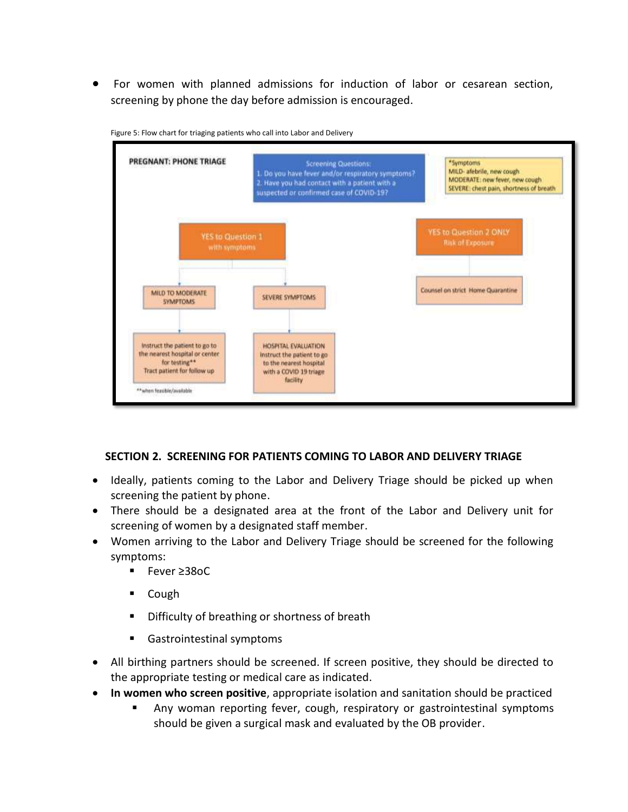For women with planned admissions for induction of labor or cesarean section, screening by phone the day before admission is encouraged.



Figure 5: Flow chart for triaging patients who call into Labor and Delivery

### **SECTION 2. SCREENING FOR PATIENTS COMING TO LABOR AND DELIVERY TRIAGE**

- Ideally, patients coming to the Labor and Delivery Triage should be picked up when screening the patient by phone.
- There should be a designated area at the front of the Labor and Delivery unit for screening of women by a designated staff member.
- Women arriving to the Labor and Delivery Triage should be screened for the following symptoms:
	- Fever ≥38oC
	- Cough
	- **Difficulty of breathing or shortness of breath**
	- Gastrointestinal symptoms
- All birthing partners should be screened. If screen positive, they should be directed to the appropriate testing or medical care as indicated.
- **In women who screen positive**, appropriate isolation and sanitation should be practiced
	- Any woman reporting fever, cough, respiratory or gastrointestinal symptoms should be given a surgical mask and evaluated by the OB provider.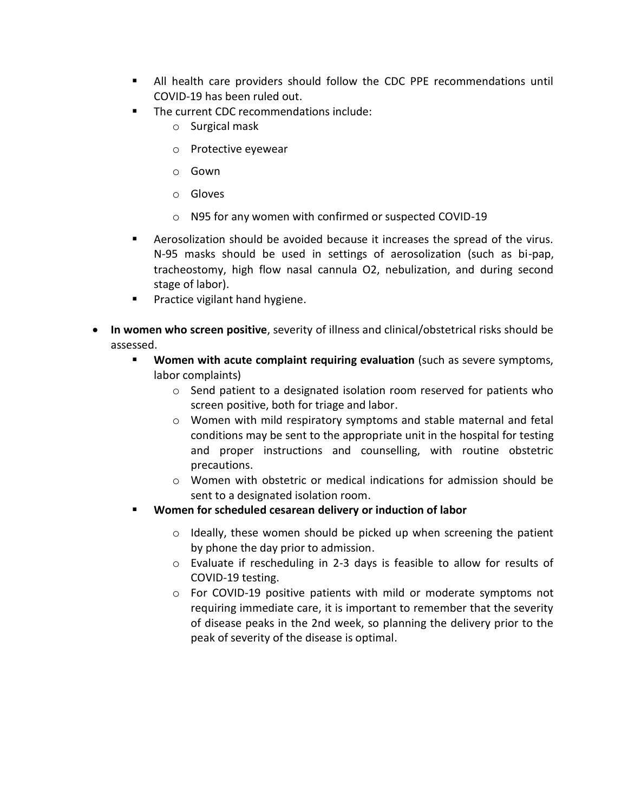- All health care providers should follow the CDC PPE recommendations until COVID-19 has been ruled out.
- The current CDC recommendations include:
	- o Surgical mask
	- o Protective eyewear
	- o Gown
	- o Gloves
	- o N95 for any women with confirmed or suspected COVID-19
- Aerosolization should be avoided because it increases the spread of the virus. N-95 masks should be used in settings of aerosolization (such as bi-pap, tracheostomy, high flow nasal cannula O2, nebulization, and during second stage of labor).
- **Practice vigilant hand hygiene.**
- **In women who screen positive**, severity of illness and clinical/obstetrical risks should be assessed.
	- **Women with acute complaint requiring evaluation** (such as severe symptoms, labor complaints)
		- o Send patient to a designated isolation room reserved for patients who screen positive, both for triage and labor.
		- o Women with mild respiratory symptoms and stable maternal and fetal conditions may be sent to the appropriate unit in the hospital for testing and proper instructions and counselling, with routine obstetric precautions.
		- $\circ$  Women with obstetric or medical indications for admission should be sent to a designated isolation room.
	- **Women for scheduled cesarean delivery or induction of labor**
		- o Ideally, these women should be picked up when screening the patient by phone the day prior to admission.
		- o Evaluate if rescheduling in 2-3 days is feasible to allow for results of COVID-19 testing.
		- $\circ$  For COVID-19 positive patients with mild or moderate symptoms not requiring immediate care, it is important to remember that the severity of disease peaks in the 2nd week, so planning the delivery prior to the peak of severity of the disease is optimal.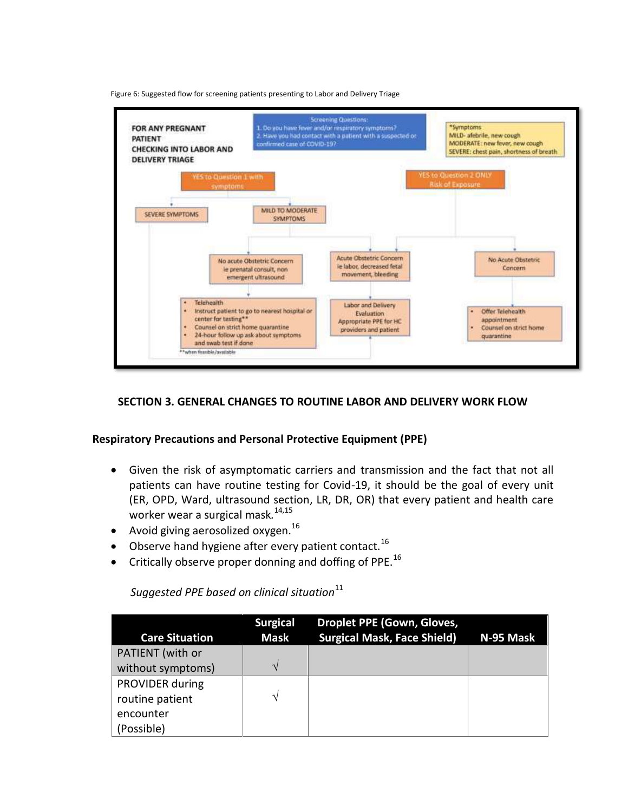Figure 6: Suggested flow for screening patients presenting to Labor and Delivery Triage



#### **SECTION 3. GENERAL CHANGES TO ROUTINE LABOR AND DELIVERY WORK FLOW**

#### **Respiratory Precautions and Personal Protective Equipment (PPE)**

- Given the risk of asymptomatic carriers and transmission and the fact that not all patients can have routine testing for Covid-19, it should be the goal of every unit (ER, OPD, Ward, ultrasound section, LR, DR, OR) that every patient and health care worker wear a surgical mask*.* 14,15
- Avoid giving aerosolized oxygen. $^{16}$
- $\bullet$  Observe hand hygiene after every patient contact.<sup>16</sup>
- $\bullet$  Critically observe proper donning and doffing of PPE.<sup>16</sup>

*Suggested PPE based on clinical situation*<sup>11</sup>

| <b>Care Situation</b>  | <b>Surgical</b><br><b>Mask</b> | <b>Droplet PPE (Gown, Gloves,</b><br><b>Surgical Mask, Face Shield)</b> | N-95 Mask |
|------------------------|--------------------------------|-------------------------------------------------------------------------|-----------|
|                        |                                |                                                                         |           |
| PATIENT (with or       |                                |                                                                         |           |
| without symptoms)      | V                              |                                                                         |           |
| <b>PROVIDER during</b> |                                |                                                                         |           |
| routine patient        | ٦                              |                                                                         |           |
| encounter              |                                |                                                                         |           |
| (Possible)             |                                |                                                                         |           |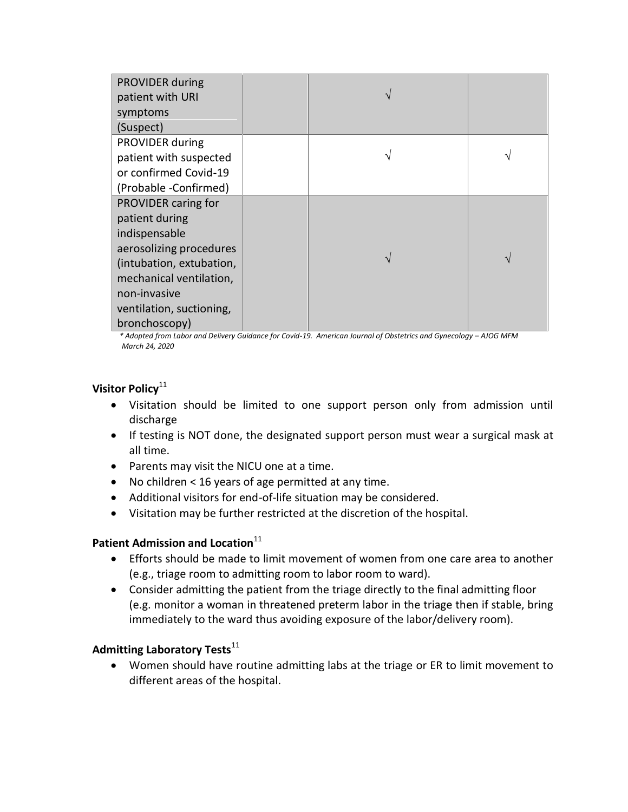| PROVIDER during          |  |  |
|--------------------------|--|--|
|                          |  |  |
| patient with URI         |  |  |
| symptoms                 |  |  |
| (Suspect)                |  |  |
| PROVIDER during          |  |  |
| patient with suspected   |  |  |
| or confirmed Covid-19    |  |  |
| (Probable -Confirmed)    |  |  |
| PROVIDER caring for      |  |  |
| patient during           |  |  |
| indispensable            |  |  |
| aerosolizing procedures  |  |  |
| (intubation, extubation, |  |  |
| mechanical ventilation,  |  |  |
| non-invasive             |  |  |
| ventilation, suctioning, |  |  |
| bronchoscopy)            |  |  |

 *\* Adopted from Labor and Delivery Guidance for Covid-19. American Journal of Obstetrics and Gynecology – AJOG MFM March 24, 2020*

### **Visitor Policy**<sup>11</sup>

- Visitation should be limited to one support person only from admission until discharge
- If testing is NOT done, the designated support person must wear a surgical mask at all time.
- Parents may visit the NICU one at a time.
- No children < 16 years of age permitted at any time.
- Additional visitors for end-of-life situation may be considered.
- Visitation may be further restricted at the discretion of the hospital.

## **Patient Admission and Location**<sup>11</sup>

- Efforts should be made to limit movement of women from one care area to another (e.g., triage room to admitting room to labor room to ward).
- Consider admitting the patient from the triage directly to the final admitting floor (e.g. monitor a woman in threatened preterm labor in the triage then if stable, bring immediately to the ward thus avoiding exposure of the labor/delivery room).

### **Admitting Laboratory Tests**<sup>11</sup>

 Women should have routine admitting labs at the triage or ER to limit movement to different areas of the hospital.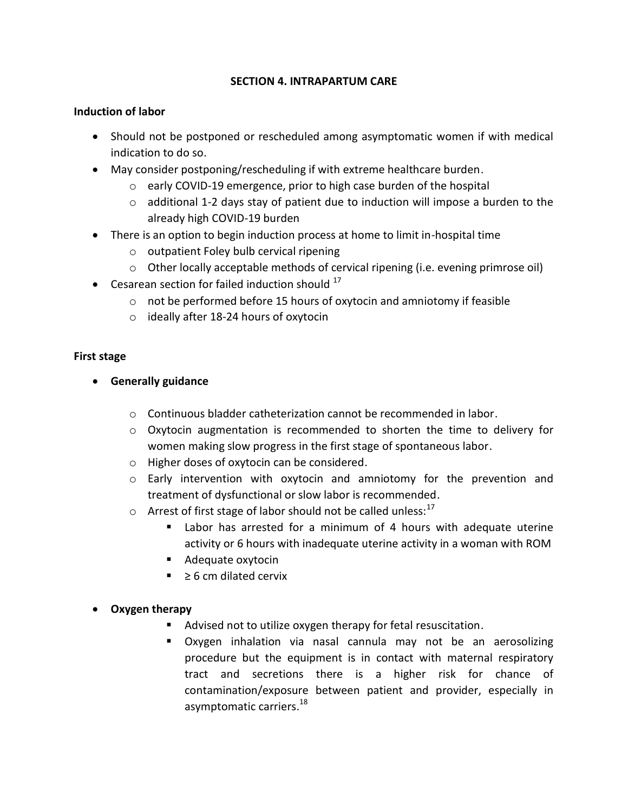### **SECTION 4. INTRAPARTUM CARE**

### **Induction of labor**

- Should not be postponed or rescheduled among asymptomatic women if with medical indication to do so.
- May consider postponing/rescheduling if with extreme healthcare burden.
	- o early COVID-19 emergence, prior to high case burden of the hospital
	- o additional 1-2 days stay of patient due to induction will impose a burden to the already high COVID-19 burden
- There is an option to begin induction process at home to limit in-hospital time
	- o outpatient Foley bulb cervical ripening
	- $\circ$  Other locally acceptable methods of cervical ripening (i.e. evening primrose oil)
- Cesarean section for failed induction should  $17$ 
	- o not be performed before 15 hours of oxytocin and amniotomy if feasible
	- o ideally after 18-24 hours of oxytocin

### **First stage**

- **Generally guidance**
	- $\circ$  Continuous bladder catheterization cannot be recommended in labor.
	- $\circ$  Oxytocin augmentation is recommended to shorten the time to delivery for women making slow progress in the first stage of spontaneous labor.
	- o Higher doses of oxytocin can be considered.
	- o Early intervention with oxytocin and amniotomy for the prevention and treatment of dysfunctional or slow labor is recommended.
	- $\circ$  Arrest of first stage of labor should not be called unless:<sup>17</sup>
		- Labor has arrested for a minimum of 4 hours with adequate uterine activity or 6 hours with inadequate uterine activity in a woman with ROM
		- Adequate oxytocin
		- $\geq 6$  cm dilated cervix

## **Oxygen therapy**

- Advised not to utilize oxygen therapy for fetal resuscitation.
- Oxygen inhalation via nasal cannula may not be an aerosolizing procedure but the equipment is in contact with maternal respiratory tract and secretions there is a higher risk for chance of contamination/exposure between patient and provider, especially in asymptomatic carriers. 18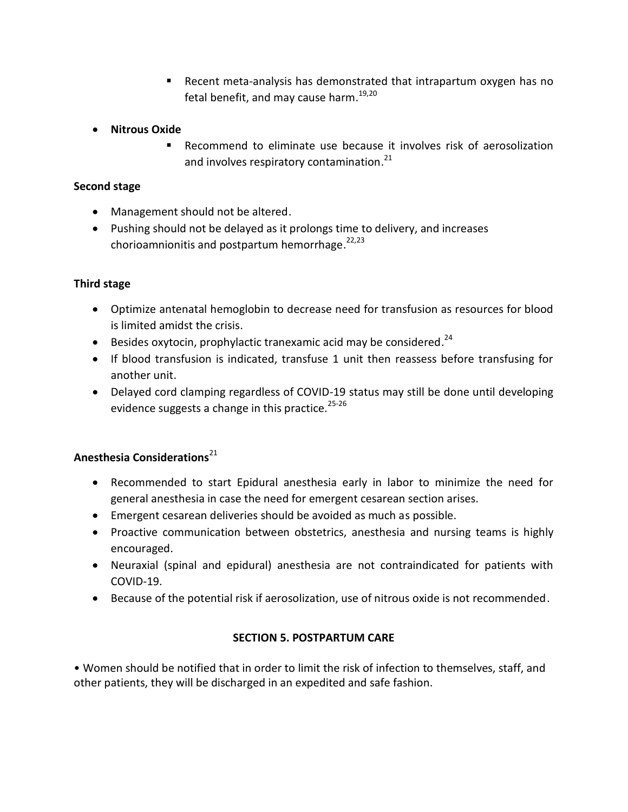- Recent meta-analysis has demonstrated that intrapartum oxygen has no fetal benefit, and may cause harm.<sup>19,20</sup>
- **•** Nitrous Oxide
	- Recommend to eliminate use because it involves risk of aerosolization and involves respiratory contamination.<sup>21</sup>

### **Second stage**

- Management should not be altered.
- Pushing should not be delayed as it prolongs time to delivery, and increases chorioamnionitis and postpartum hemorrhage.<sup>22,23</sup>

### **Third stage**

- Optimize antenatal hemoglobin to decrease need for transfusion as resources for blood is limited amidst the crisis.
- $\bullet$  Besides oxytocin, prophylactic tranexamic acid may be considered.<sup>24</sup>
- If blood transfusion is indicated, transfuse 1 unit then reassess before transfusing for another unit.
- Delayed cord clamping regardless of COVID-19 status may still be done until developing evidence suggests a change in this practice.<sup>25-26</sup>

## Anesthesia Considerations<sup>21</sup>

- Recommended to start Epidural anesthesia early in labor to minimize the need for general anesthesia in case the need for emergent cesarean section arises.
- Emergent cesarean deliveries should be avoided as much as possible.
- Proactive communication between obstetrics, anesthesia and nursing teams is highly encouraged.
- Neuraxial (spinal and epidural) anesthesia are not contraindicated for patients with COVID-19.
- Because of the potential risk if aerosolization, use of nitrous oxide is not recommended.

## **SECTION 5. POSTPARTUM CARE**

• Women should be notified that in order to limit the risk of infection to themselves, staff, and other patients, they will be discharged in an expedited and safe fashion.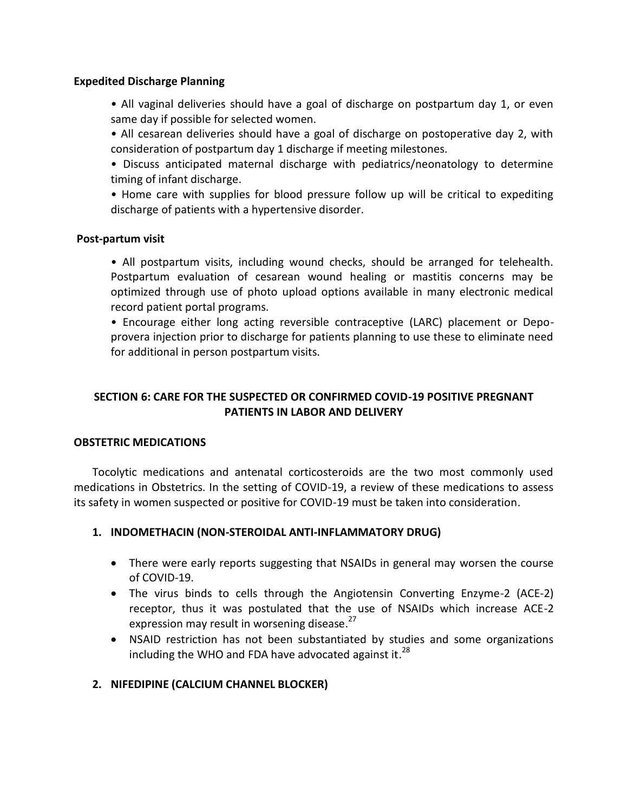#### **Expedited Discharge Planning**

• All vaginal deliveries should have a goal of discharge on postpartum day 1, or even same day if possible for selected women.

- All cesarean deliveries should have a goal of discharge on postoperative day 2, with consideration of postpartum day 1 discharge if meeting milestones.
- Discuss anticipated maternal discharge with pediatrics/neonatology to determine timing of infant discharge.

• Home care with supplies for blood pressure follow up will be critical to expediting discharge of patients with a hypertensive disorder.

#### **Post-partum visit**

• All postpartum visits, including wound checks, should be arranged for telehealth. Postpartum evaluation of cesarean wound healing or mastitis concerns may be optimized through use of photo upload options available in many electronic medical record patient portal programs.

• Encourage either long acting reversible contraceptive (LARC) placement or Depoprovera injection prior to discharge for patients planning to use these to eliminate need for additional in person postpartum visits.

### **SECTION 6: CARE FOR THE SUSPECTED OR CONFIRMED COVID-19 POSITIVE PREGNANT PATIENTS IN LABOR AND DELIVERY**

### **OBSTETRIC MEDICATIONS**

Tocolytic medications and antenatal corticosteroids are the two most commonly used medications in Obstetrics. In the setting of COVID-19, a review of these medications to assess its safety in women suspected or positive for COVID-19 must be taken into consideration.

### **1. INDOMETHACIN (NON-STEROIDAL ANTI-INFLAMMATORY DRUG)**

- There were early reports suggesting that NSAIDs in general may worsen the course of COVID-19.
- The virus binds to cells through the Angiotensin Converting Enzyme-2 (ACE-2) receptor, thus it was postulated that the use of NSAIDs which increase ACE-2 expression may result in worsening disease.<sup>27</sup>
- NSAID restriction has not been substantiated by studies and some organizations including the WHO and FDA have advocated against it.<sup>28</sup>

### **2. NIFEDIPINE (CALCIUM CHANNEL BLOCKER)**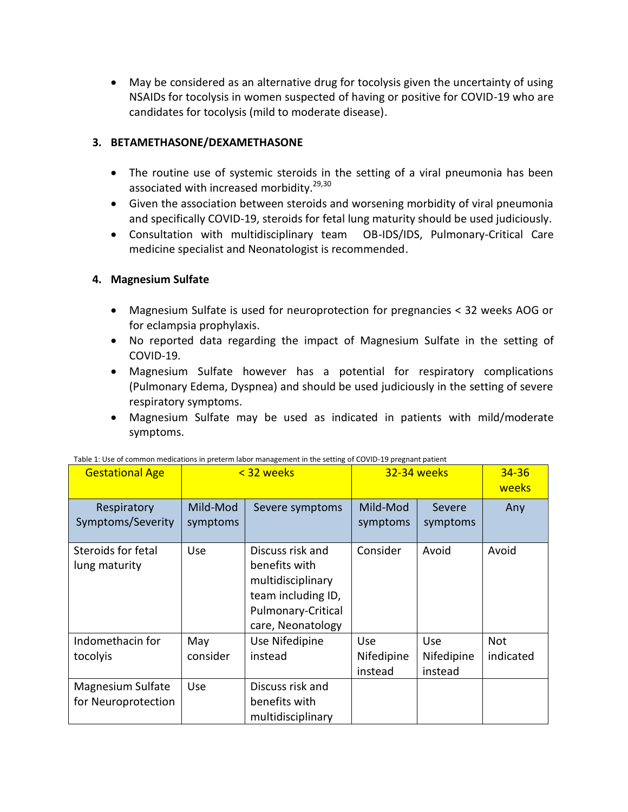May be considered as an alternative drug for tocolysis given the uncertainty of using NSAIDs for tocolysis in women suspected of having or positive for COVID-19 who are candidates for tocolysis (mild to moderate disease).

### **3. BETAMETHASONE/DEXAMETHASONE**

- The routine use of systemic steroids in the setting of a viral pneumonia has been associated with increased morbidity.<sup>29,30</sup>
- Given the association between steroids and worsening morbidity of viral pneumonia and specifically COVID-19, steroids for fetal lung maturity should be used judiciously.
- Consultation with multidisciplinary team OB-IDS/IDS, Pulmonary-Critical Care medicine specialist and Neonatologist is recommended.

## **4. Magnesium Sulfate**

- Magnesium Sulfate is used for neuroprotection for pregnancies < 32 weeks AOG or for eclampsia prophylaxis.
- No reported data regarding the impact of Magnesium Sulfate in the setting of COVID-19.
- Magnesium Sulfate however has a potential for respiratory complications (Pulmonary Edema, Dyspnea) and should be used judiciously in the setting of severe respiratory symptoms.
- Magnesium Sulfate may be used as indicated in patients with mild/moderate symptoms.

| <b>Gestational Age</b>                   | < 32 weeks           |                                                                                                                         | <b>32-34 weeks</b>           |                              | $34 - 36$<br>weeks      |
|------------------------------------------|----------------------|-------------------------------------------------------------------------------------------------------------------------|------------------------------|------------------------------|-------------------------|
| Respiratory<br>Symptoms/Severity         | Mild-Mod<br>symptoms | Severe symptoms                                                                                                         | Mild-Mod<br>symptoms         | Severe<br>symptoms           | Any                     |
| Steroids for fetal<br>lung maturity      | Use                  | Discuss risk and<br>benefits with<br>multidisciplinary<br>team including ID,<br>Pulmonary-Critical<br>care, Neonatology | Consider                     | Avoid                        | Avoid                   |
| Indomethacin for<br>tocolyis             | May<br>consider      | Use Nifedipine<br>instead                                                                                               | Use<br>Nifedipine<br>instead | Use<br>Nifedipine<br>instead | <b>Not</b><br>indicated |
| Magnesium Sulfate<br>for Neuroprotection | Use                  | Discuss risk and<br>benefits with<br>multidisciplinary                                                                  |                              |                              |                         |

Table 1: Use of common medications in preterm labor management in the setting of COVID-19 pregnant patient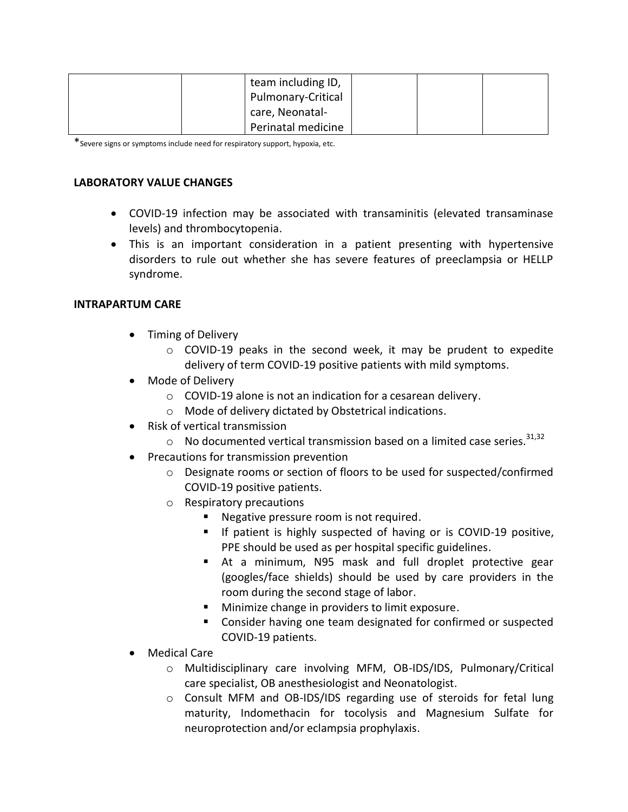| team including ID, |  |  |
|--------------------|--|--|
| Pulmonary-Critical |  |  |
| care, Neonatal-    |  |  |
| Perinatal medicine |  |  |

\*Severe signs or symptoms include need for respiratory support, hypoxia, etc.

### **LABORATORY VALUE CHANGES**

- COVID-19 infection may be associated with transaminitis (elevated transaminase levels) and thrombocytopenia.
- This is an important consideration in a patient presenting with hypertensive disorders to rule out whether she has severe features of preeclampsia or HELLP syndrome.

### **INTRAPARTUM CARE**

- Timing of Delivery
	- o COVID-19 peaks in the second week, it may be prudent to expedite delivery of term COVID-19 positive patients with mild symptoms.
- Mode of Delivery
	- o COVID-19 alone is not an indication for a cesarean delivery.
	- o Mode of delivery dictated by Obstetrical indications.
- Risk of vertical transmission
	- $\circ$  No documented vertical transmission based on a limited case series.<sup>31,32</sup>
- Precautions for transmission prevention
	- o Designate rooms or section of floors to be used for suspected/confirmed COVID-19 positive patients.
	- o Respiratory precautions
		- **Negative pressure room is not required.**
		- If patient is highly suspected of having or is COVID-19 positive, PPE should be used as per hospital specific guidelines.
		- At a minimum, N95 mask and full droplet protective gear (googles/face shields) should be used by care providers in the room during the second stage of labor.
		- **Minimize change in providers to limit exposure.**
		- Consider having one team designated for confirmed or suspected COVID-19 patients.
- Medical Care
	- o Multidisciplinary care involving MFM, OB-IDS/IDS, Pulmonary/Critical care specialist, OB anesthesiologist and Neonatologist.
	- o Consult MFM and OB-IDS/IDS regarding use of steroids for fetal lung maturity, Indomethacin for tocolysis and Magnesium Sulfate for neuroprotection and/or eclampsia prophylaxis.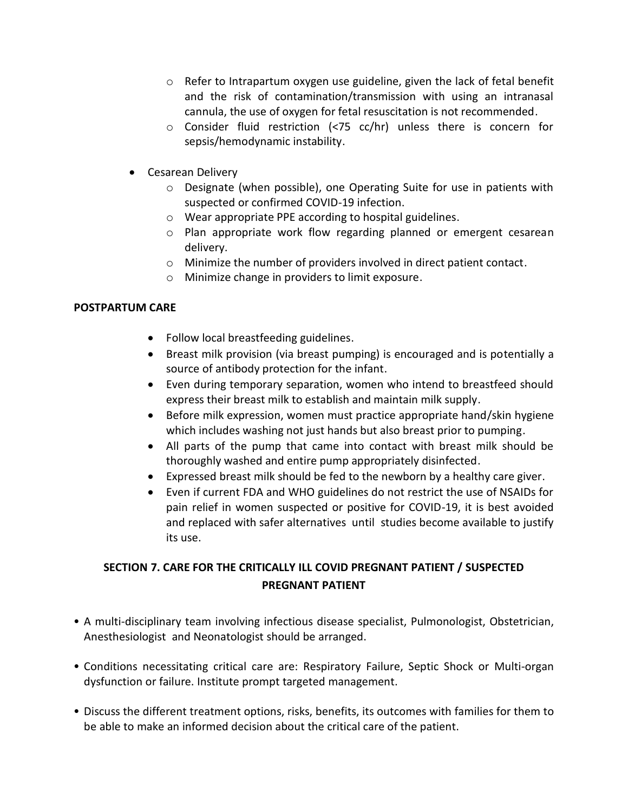- $\circ$  Refer to Intrapartum oxygen use guideline, given the lack of fetal benefit and the risk of contamination/transmission with using an intranasal cannula, the use of oxygen for fetal resuscitation is not recommended.
- o Consider fluid restriction (<75 cc/hr) unless there is concern for sepsis/hemodynamic instability.
- Cesarean Delivery
	- o Designate (when possible), one Operating Suite for use in patients with suspected or confirmed COVID-19 infection.
	- o Wear appropriate PPE according to hospital guidelines.
	- o Plan appropriate work flow regarding planned or emergent cesarean delivery.
	- o Minimize the number of providers involved in direct patient contact.
	- o Minimize change in providers to limit exposure.

### **POSTPARTUM CARE**

- Follow local breastfeeding guidelines.
- Breast milk provision (via breast pumping) is encouraged and is potentially a source of antibody protection for the infant.
- Even during temporary separation, women who intend to breastfeed should express their breast milk to establish and maintain milk supply.
- Before milk expression, women must practice appropriate hand/skin hygiene which includes washing not just hands but also breast prior to pumping.
- All parts of the pump that came into contact with breast milk should be thoroughly washed and entire pump appropriately disinfected.
- Expressed breast milk should be fed to the newborn by a healthy care giver.
- Even if current FDA and WHO guidelines do not restrict the use of NSAIDs for pain relief in women suspected or positive for COVID-19, it is best avoided and replaced with safer alternatives until studies become available to justify its use.

# **SECTION 7. CARE FOR THE CRITICALLY ILL COVID PREGNANT PATIENT / SUSPECTED PREGNANT PATIENT**

- A multi-disciplinary team involving infectious disease specialist, Pulmonologist, Obstetrician, Anesthesiologist and Neonatologist should be arranged.
- Conditions necessitating critical care are: Respiratory Failure, Septic Shock or Multi-organ dysfunction or failure. Institute prompt targeted management.
- Discuss the different treatment options, risks, benefits, its outcomes with families for them to be able to make an informed decision about the critical care of the patient.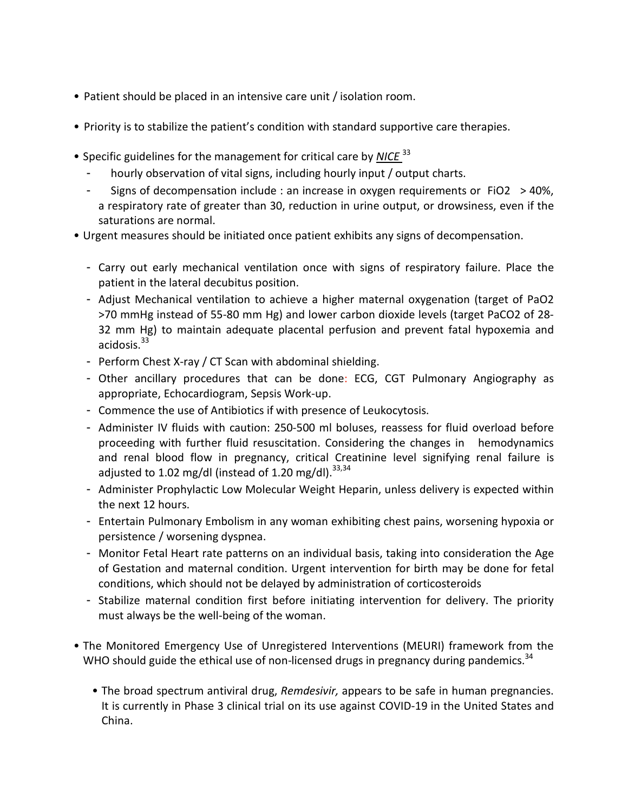- Patient should be placed in an intensive care unit / isolation room.
- Priority is to stabilize the patient's condition with standard supportive care therapies.
- Specific guidelines for the management for critical care by *NICE* <sup>33</sup>
	- hourly observation of vital signs, including hourly input / output charts.
	- Signs of decompensation include : an increase in oxygen requirements or FiO2  $>$  40%, a respiratory rate of greater than 30, reduction in urine output, or drowsiness, even if the saturations are normal.
- Urgent measures should be initiated once patient exhibits any signs of decompensation.
	- Carry out early mechanical ventilation once with signs of respiratory failure. Place the patient in the lateral decubitus position.
	- Adjust Mechanical ventilation to achieve a higher maternal oxygenation (target of PaO2 >70 mmHg instead of 55-80 mm Hg) and lower carbon dioxide levels (target PaCO2 of 28- 32 mm Hg) to maintain adequate placental perfusion and prevent fatal hypoxemia and acidosis. $33$
	- Perform Chest X-ray / CT Scan with abdominal shielding.
	- Other ancillary procedures that can be done: ECG, CGT Pulmonary Angiography as appropriate, Echocardiogram, Sepsis Work-up.
	- Commence the use of Antibiotics if with presence of Leukocytosis.
	- Administer IV fluids with caution: 250-500 ml boluses, reassess for fluid overload before proceeding with further fluid resuscitation. Considering the changes in hemodynamics and renal blood flow in pregnancy, critical Creatinine level signifying renal failure is adjusted to 1.02 mg/dl (instead of 1.20 mg/dl).  $33,34$
	- Administer Prophylactic Low Molecular Weight Heparin, unless delivery is expected within the next 12 hours.
	- Entertain Pulmonary Embolism in any woman exhibiting chest pains, worsening hypoxia or persistence / worsening dyspnea.
	- Monitor Fetal Heart rate patterns on an individual basis, taking into consideration the Age of Gestation and maternal condition. Urgent intervention for birth may be done for fetal conditions, which should not be delayed by administration of corticosteroids
	- Stabilize maternal condition first before initiating intervention for delivery. The priority must always be the well-being of the woman.
- The Monitored Emergency Use of Unregistered Interventions (MEURI) framework from the WHO should guide the ethical use of non-licensed drugs in pregnancy during pandemics.<sup>34</sup>
	- The broad spectrum antiviral drug, *Remdesivir,* appears to be safe in human pregnancies. It is currently in Phase 3 clinical trial on its use against COVID-19 in the United States and China.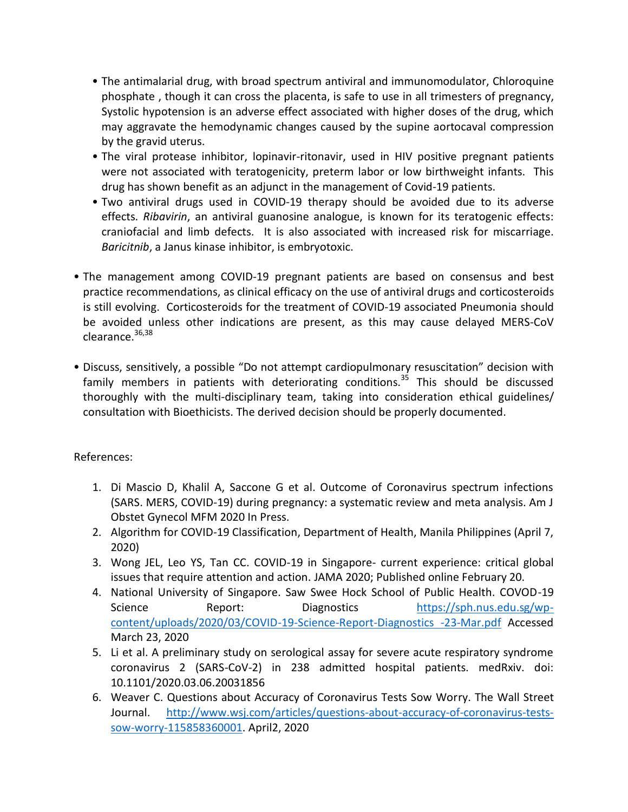- The antimalarial drug, with broad spectrum antiviral and immunomodulator, Chloroquine phosphate , though it can cross the placenta, is safe to use in all trimesters of pregnancy, Systolic hypotension is an adverse effect associated with higher doses of the drug, which may aggravate the hemodynamic changes caused by the supine aortocaval compression by the gravid uterus.
- The viral protease inhibitor, lopinavir-ritonavir, used in HIV positive pregnant patients were not associated with teratogenicity, preterm labor or low birthweight infants. This drug has shown benefit as an adjunct in the management of Covid-19 patients.
- Two antiviral drugs used in COVID-19 therapy should be avoided due to its adverse effects. *Ribavirin*, an antiviral guanosine analogue, is known for its teratogenic effects: craniofacial and limb defects. It is also associated with increased risk for miscarriage. *Baricitnib*, a Janus kinase inhibitor, is embryotoxic.
- The management among COVID-19 pregnant patients are based on consensus and best practice recommendations, as clinical efficacy on the use of antiviral drugs and corticosteroids is still evolving. Corticosteroids for the treatment of COVID-19 associated Pneumonia should be avoided unless other indications are present, as this may cause delayed MERS-CoV clearance.<sup>36,38</sup>
- Discuss, sensitively, a possible "Do not attempt cardiopulmonary resuscitation" decision with family members in patients with deteriorating conditions.<sup>35</sup> This should be discussed thoroughly with the multi-disciplinary team, taking into consideration ethical guidelines/ consultation with Bioethicists. The derived decision should be properly documented.

## References:

- 1. Di Mascio D, Khalil A, Saccone G et al. Outcome of Coronavirus spectrum infections (SARS. MERS, COVID-19) during pregnancy: a systematic review and meta analysis. Am J Obstet Gynecol MFM 2020 In Press.
- 2. Algorithm for COVID-19 Classification, Department of Health, Manila Philippines (April 7, 2020)
- 3. Wong JEL, Leo YS, Tan CC. COVID-19 in Singapore- current experience: critical global issues that require attention and action. JAMA 2020; Published online February 20.
- 4. National University of Singapore. Saw Swee Hock School of Public Health. COVOD-19 Science Report: Diagnostics [https://sph.nus.edu.sg/wp](https://sph.nus.edu.sg/wp-content/uploads/2020/03/COVID-19-Science-Report-Diagnostics%20-23-Mar.pdf)[content/uploads/2020/03/COVID-19-Science-Report-Diagnostics -23-Mar.pdf](https://sph.nus.edu.sg/wp-content/uploads/2020/03/COVID-19-Science-Report-Diagnostics%20-23-Mar.pdf) Accessed March 23, 2020
- 5. Li et al. A preliminary study on serological assay for severe acute respiratory syndrome coronavirus 2 (SARS-CoV-2) in 238 admitted hospital patients. medRxiv. doi: 10.1101/2020.03.06.20031856
- 6. Weaver C. Questions about Accuracy of Coronavirus Tests Sow Worry. The Wall Street Journal. [http://www.wsj.com/articles/questions-about-accuracy-of-coronavirus-tests](http://www.wsj.com/articles/questions-about-accuracy-of-coronavirus-tests-sow-worry-115858360001)[sow-worry-115858360001.](http://www.wsj.com/articles/questions-about-accuracy-of-coronavirus-tests-sow-worry-115858360001) April2, 2020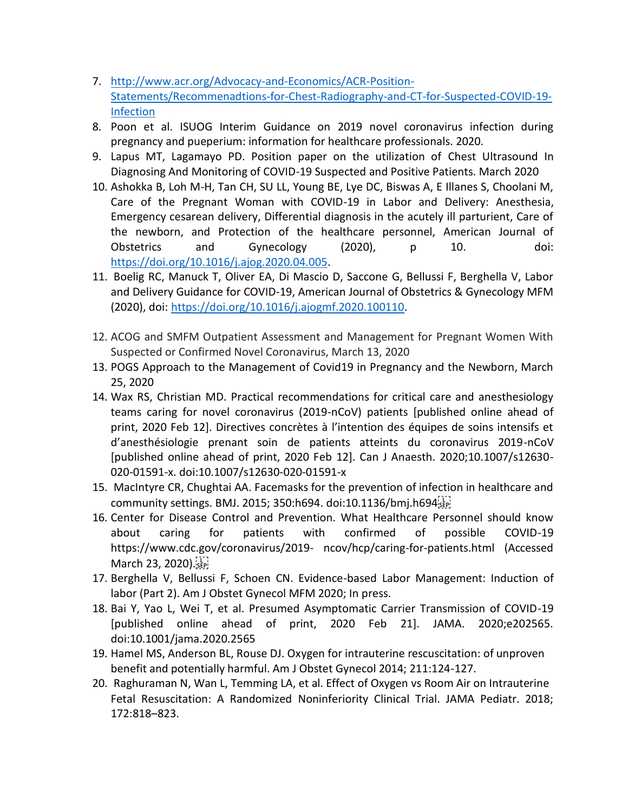- 7. [http://www.acr.org/Advocacy-and-Economics/ACR-Position-](http://www.acr.org/Advocacy-and-Economics/ACR-Position-Statements/Recommenadtions-for-Chest-Radiography-and-CT-for-Suspected-COVID-19-Infection)[Statements/Recommenadtions-for-Chest-Radiography-and-CT-for-Suspected-COVID-19-](http://www.acr.org/Advocacy-and-Economics/ACR-Position-Statements/Recommenadtions-for-Chest-Radiography-and-CT-for-Suspected-COVID-19-Infection) [Infection](http://www.acr.org/Advocacy-and-Economics/ACR-Position-Statements/Recommenadtions-for-Chest-Radiography-and-CT-for-Suspected-COVID-19-Infection)
- 8. Poon et al. ISUOG Interim Guidance on 2019 novel coronavirus infection during pregnancy and pueperium: information for healthcare professionals. 2020.
- 9. Lapus MT, Lagamayo PD. Position paper on the utilization of Chest Ultrasound In Diagnosing And Monitoring of COVID-19 Suspected and Positive Patients. March 2020
- 10. Ashokka B, Loh M-H, Tan CH, SU LL, Young BE, Lye DC, Biswas A, E Illanes S, Choolani M, Care of the Pregnant Woman with COVID-19 in Labor and Delivery: Anesthesia, Emergency cesarean delivery, Differential diagnosis in the acutely ill parturient, Care of the newborn, and Protection of the healthcare personnel, American Journal of Obstetrics and Gynecology (2020), p 10. doi: [https://doi.org/10.1016/j.ajog.2020.04.005.](https://doi.org/10.1016/j.ajog.2020.04.005)
- 11. Boelig RC, Manuck T, Oliver EA, Di Mascio D, Saccone G, Bellussi F, Berghella V, Labor and Delivery Guidance for COVID-19, American Journal of Obstetrics & Gynecology MFM (2020), doi: [https://doi.org/10.1016/j.ajogmf.2020.100110.](https://doi.org/10.1016/j.ajogmf.2020.100110)
- 12. ACOG and SMFM Outpatient Assessment and Management for Pregnant Women With Suspected or Confirmed Novel Coronavirus, March 13, 2020
- 13. POGS Approach to the Management of Covid19 in Pregnancy and the Newborn, March 25, 2020
- 14. Wax RS, Christian MD. Practical recommendations for critical care and anesthesiology teams caring for novel coronavirus (2019-nCoV) patients [published online ahead of print, 2020 Feb 12]. Directives concrètes à l'intention des équipes de soins intensifs et d'anesthésiologie prenant soin de patients atteints du coronavirus 2019-nCoV [published online ahead of print, 2020 Feb 12]. Can J Anaesth. 2020;10.1007/s12630- 020-01591-x. doi:10.1007/s12630-020-01591-x
- 15. MacIntyre CR, Chughtai AA. Facemasks for the prevention of infection in healthcare and community settings. BMJ. 2015; 350:h694. doi:10.1136/bmj.h694
- 16. Center for Disease Control and Prevention. What Healthcare Personnel should know about caring for patients with confirmed of possible COVID-19 https://www.cdc.gov/coronavirus/2019- ncov/hcp/caring-for-patients.html (Accessed March 23, 2020).
- 17. Berghella V, Bellussi F, Schoen CN. Evidence-based Labor Management: Induction of labor (Part 2). Am J Obstet Gynecol MFM 2020; In press.
- 18. Bai Y, Yao L, Wei T, et al. Presumed Asymptomatic Carrier Transmission of COVID-19 [published online ahead of print, 2020 Feb 21]. JAMA. 2020;e202565. doi:10.1001/jama.2020.2565
- 19. Hamel MS, Anderson BL, Rouse DJ. Oxygen for intrauterine rescuscitation: of unproven benefit and potentially harmful. Am J Obstet Gynecol 2014; 211:124-127.
- 20. Raghuraman N, Wan L, Temming LA, et al. Effect of Oxygen vs Room Air on Intrauterine Fetal Resuscitation: A Randomized Noninferiority Clinical Trial. JAMA Pediatr. 2018; 172:818–823.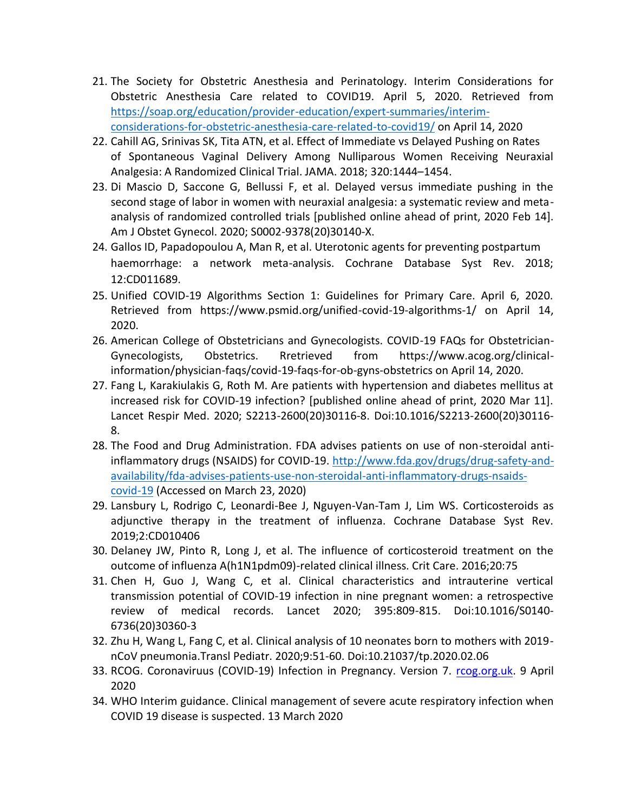- 21. The Society for Obstetric Anesthesia and Perinatology. Interim Considerations for Obstetric Anesthesia Care related to COVID19. April 5, 2020. Retrieved from [https://soap.org/education/provider-education/expert-summaries/interim](https://soap.org/education/provider-education/expert-summaries/interim-considerations-for-obstetric-anesthesia-care-related-to-covid19/)[considerations-for-obstetric-anesthesia-care-related-to-covid19/](https://soap.org/education/provider-education/expert-summaries/interim-considerations-for-obstetric-anesthesia-care-related-to-covid19/) on April 14, 2020
- 22. Cahill AG, Srinivas SK, Tita ATN, et al. Effect of Immediate vs Delayed Pushing on Rates of Spontaneous Vaginal Delivery Among Nulliparous Women Receiving Neuraxial Analgesia: A Randomized Clinical Trial. JAMA. 2018; 320:1444–1454.
- 23. Di Mascio D, Saccone G, Bellussi F, et al. Delayed versus immediate pushing in the second stage of labor in women with neuraxial analgesia: a systematic review and metaanalysis of randomized controlled trials [published online ahead of print, 2020 Feb 14]. Am J Obstet Gynecol. 2020; S0002-9378(20)30140-X.
- 24. Gallos ID, Papadopoulou A, Man R, et al. Uterotonic agents for preventing postpartum haemorrhage: a network meta-analysis. Cochrane Database Syst Rev. 2018; 12:CD011689.
- 25. Unified COVID-19 Algorithms Section 1: Guidelines for Primary Care. April 6, 2020. Retrieved from https://www.psmid.org/unified-covid-19-algorithms-1/ on April 14, 2020.
- 26. American College of Obstetricians and Gynecologists. COVID-19 FAQs for Obstetrician-Gynecologists, Obstetrics. Rretrieved from https://www.acog.org/clinicalinformation/physician-faqs/covid-19-faqs-for-ob-gyns-obstetrics on April 14, 2020.
- 27. Fang L, Karakiulakis G, Roth M. Are patients with hypertension and diabetes mellitus at increased risk for COVID-19 infection? [published online ahead of print, 2020 Mar 11]. Lancet Respir Med. 2020; S2213-2600(20)30116-8. Doi:10.1016/S2213-2600(20)30116- 8.
- 28. The Food and Drug Administration. FDA advises patients on use of non-steroidal antiinflammatory drugs (NSAIDS) for COVID-19. [http://www.fda.gov/drugs/drug-safety-and](http://www.fda.gov/drugs/drug-safety-and-availability/fda-advises-patients-use-non-steroidal-anti-inflammatory-drugs-nsaids-covid-19)[availability/fda-advises-patients-use-non-steroidal-anti-inflammatory-drugs-nsaids](http://www.fda.gov/drugs/drug-safety-and-availability/fda-advises-patients-use-non-steroidal-anti-inflammatory-drugs-nsaids-covid-19)[covid-19](http://www.fda.gov/drugs/drug-safety-and-availability/fda-advises-patients-use-non-steroidal-anti-inflammatory-drugs-nsaids-covid-19) (Accessed on March 23, 2020)
- 29. Lansbury L, Rodrigo C, Leonardi-Bee J, Nguyen-Van-Tam J, Lim WS. Corticosteroids as adjunctive therapy in the treatment of influenza. Cochrane Database Syst Rev. 2019;2:CD010406
- 30. Delaney JW, Pinto R, Long J, et al. The influence of corticosteroid treatment on the outcome of influenza A(h1N1pdm09)-related clinical illness. Crit Care. 2016;20:75
- 31. Chen H, Guo J, Wang C, et al. Clinical characteristics and intrauterine vertical transmission potential of COVID-19 infection in nine pregnant women: a retrospective review of medical records. Lancet 2020; 395:809-815. Doi:10.1016/S0140- 6736(20)30360-3
- 32. Zhu H, Wang L, Fang C, et al. Clinical analysis of 10 neonates born to mothers with 2019 nCoV pneumonia.Transl Pediatr. 2020;9:51-60. Doi:10.21037/tp.2020.02.06
- 33. RCOG. Coronaviruus (COVID-19) Infection in Pregnancy. Version 7. [rcog.org.uk.](http://rcog.org.uk/) 9 April 2020
- 34. WHO Interim guidance. Clinical management of severe acute respiratory infection when COVID 19 disease is suspected. 13 March 2020